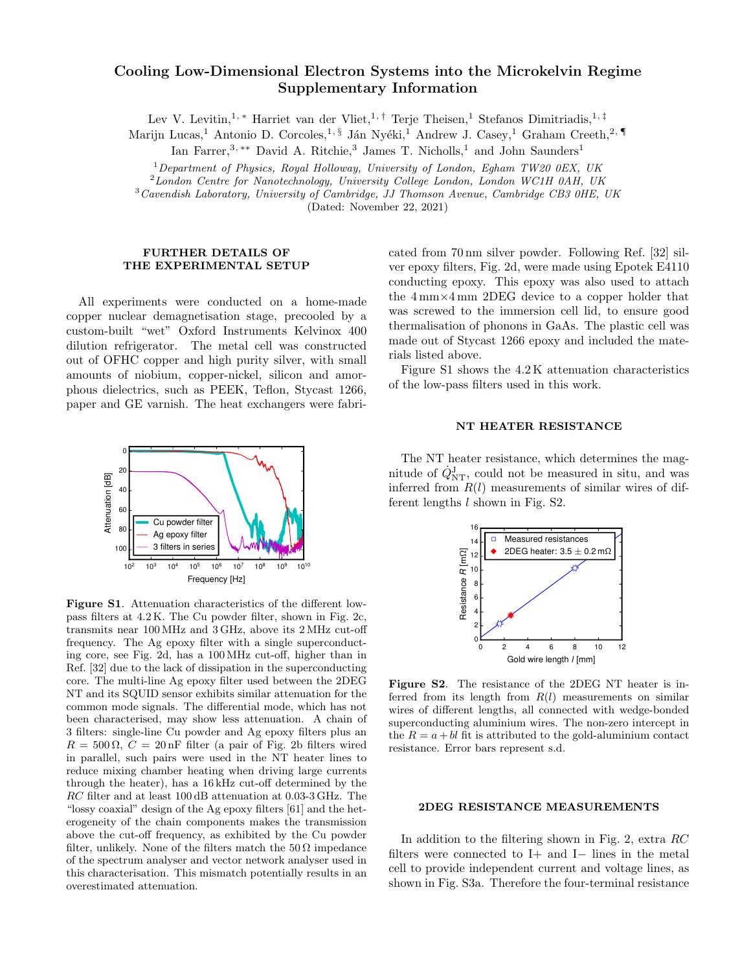# Cooling Low-Dimensional Electron Systems into the Microkelvin Regime Supplementary Information

Lev V. Levitin,<sup>1,\*</sup> Harriet van der Vliet,<sup>1,†</sup> Terje Theisen,<sup>1</sup> Stefanos Dimitriadis,<sup>1,‡</sup>

Marijn Lucas,<sup>1</sup> Antonio D. Corcoles,<sup>1, §</sup> Ján Nyéki,<sup>1</sup> Andrew J. Casey,<sup>1</sup> Graham Creeth,<sup>2, ¶</sup>

Ian Farrer,<sup>3,\*\*</sup> David A. Ritchie,<sup>3</sup> James T. Nicholls,<sup>1</sup> and John Saunders<sup>1</sup>

<sup>1</sup>Department of Physics, Royal Holloway, University of London, Egham TW20 0EX, UK

 ${}^{2}$ London Centre for Nanotechnology, University College London, London WC1H 0AH, UK

 $3$ Cavendish Laboratory, University of Cambridge, JJ Thomson Avenue, Cambridge CB3 0HE, UK

(Dated: November 22, 2021)

### FURTHER DETAILS OF THE EXPERIMENTAL SETUP

All experiments were conducted on a home-made copper nuclear demagnetisation stage, precooled by a custom-built "wet" Oxford Instruments Kelvinox 400 dilution refrigerator. The metal cell was constructed out of OFHC copper and high purity silver, with small amounts of niobium, copper-nickel, silicon and amorphous dielectrics, such as PEEK, Teflon, Stycast 1266, paper and GE varnish. The heat exchangers were fabri-



Figure S1. Attenuation characteristics of the different lowpass filters at 4.2 K. The Cu powder filter, shown in Fig. 2c, transmits near 100 MHz and 3 GHz, above its 2 MHz cut-off frequency. The Ag epoxy filter with a single superconducting core, see Fig. 2d, has a 100 MHz cut-off, higher than in Ref. [32] due to the lack of dissipation in the superconducting core. The multi-line Ag epoxy filter used between the 2DEG NT and its SQUID sensor exhibits similar attenuation for the common mode signals. The differential mode, which has not been characterised, may show less attenuation. A chain of 3 filters: single-line Cu powder and Ag epoxy filters plus an  $R = 500 \Omega$ ,  $C = 20 \text{ nF}$  filter (a pair of Fig. 2b filters wired in parallel, such pairs were used in the NT heater lines to reduce mixing chamber heating when driving large currents through the heater), has a 16 kHz cut-off determined by the RC filter and at least 100 dB attenuation at 0.03-3 GHz. The "lossy coaxial" design of the Ag epoxy filters [61] and the heterogeneity of the chain components makes the transmission above the cut-off frequency, as exhibited by the Cu powder filter, unlikely. None of the filters match the  $50 \Omega$  impedance of the spectrum analyser and vector network analyser used in this characterisation. This mismatch potentially results in an overestimated attenuation.

cated from 70 nm silver powder. Following Ref. [32] silver epoxy filters, Fig. 2d, were made using Epotek E4110 conducting epoxy. This epoxy was also used to attach the 4 mm×4 mm 2DEG device to a copper holder that was screwed to the immersion cell lid, to ensure good thermalisation of phonons in GaAs. The plastic cell was made out of Stycast 1266 epoxy and included the materials listed above.

Figure S1 shows the 4.2 K attenuation characteristics of the low-pass filters used in this work.

#### NT HEATER RESISTANCE

The NT heater resistance, which determines the magnitude of  $\dot{Q}_{NT}$ , could not be measured in situ, and was inferred from  $R(l)$  measurements of similar wires of different lengths  $l$  shown in Fig. S2.



Figure S2. The resistance of the 2DEG NT heater is inferred from its length from  $R(l)$  measurements on similar wires of different lengths, all connected with wedge-bonded superconducting aluminium wires. The non-zero intercept in the  $R = a + bl$  fit is attributed to the gold-aluminium contact resistance. Error bars represent s.d.

#### 2DEG RESISTANCE MEASUREMENTS

In addition to the filtering shown in Fig. 2, extra RC filters were connected to I+ and I− lines in the metal cell to provide independent current and voltage lines, as shown in Fig. S3a. Therefore the four-terminal resistance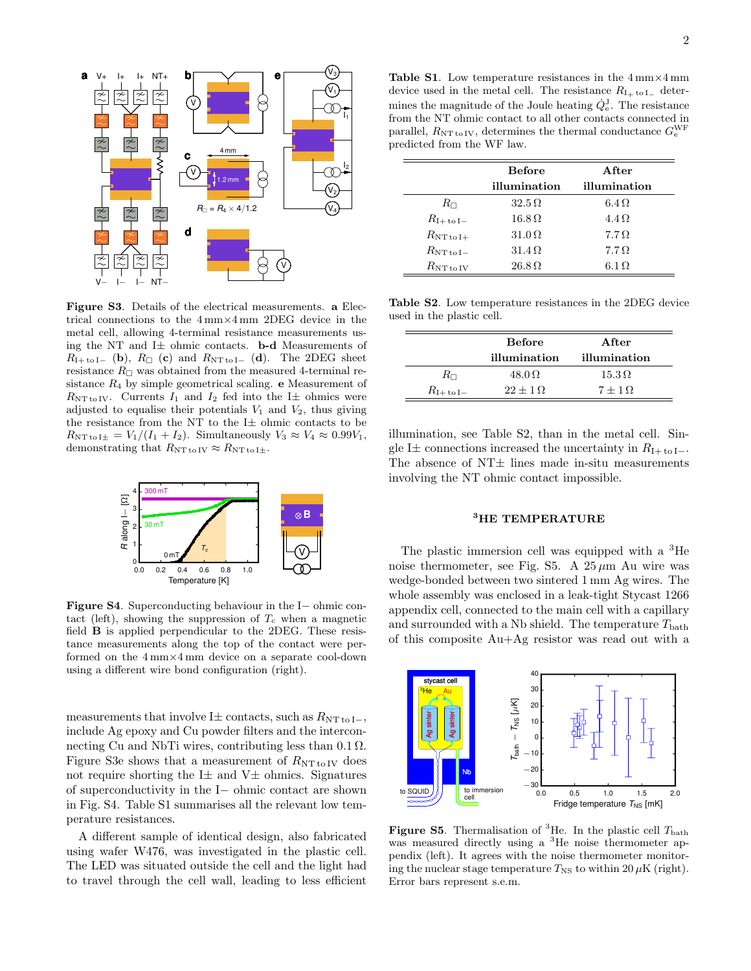

Figure S3. Details of the electrical measurements. a Electrical connections to the 4 mm×4 mm 2DEG device in the metal cell, allowing 4-terminal resistance measurements using the NT and I $\pm$  ohmic contacts. **b-d** Measurements of  $R_{\text{I+tol-}}$  (b),  $R_{\Box}$  (c) and  $R_{\text{NTtol-}}$  (d). The 2DEG sheet resistance  $R_{\Box}$  was obtained from the measured 4-terminal resistance  $R_4$  by simple geometrical scaling. **e** Measurement of  $R_{\text{NT to IV}}$ . Currents  $I_1$  and  $I_2$  fed into the I $\pm$  ohmics were adjusted to equalise their potentials  $V_1$  and  $V_2$ , thus giving the resistance from the NT to the  $I\pm$  ohmic contacts to be  $R_{\text{NT to I}\pm} = V_1/(I_1 + I_2)$ . Simultaneously  $V_3 \approx V_4 \approx 0.99 V_1$ , demonstrating that  $R_{\text{NT to IV}} \approx R_{\text{NT to I}\pm}$ .



Figure S4. Superconducting behaviour in the I− ohmic contact (left), showing the suppression of  $T_c$  when a magnetic field B is applied perpendicular to the 2DEG. These resistance measurements along the top of the contact were performed on the 4 mm×4 mm device on a separate cool-down using a different wire bond configuration (right).

measurements that involve I $\pm$  contacts, such as  $R_{NT to I-}$ , include Ag epoxy and Cu powder filters and the interconnecting Cu and NbTi wires, contributing less than  $0.1 \Omega$ . Figure S3e shows that a measurement of  $R_{\text{NT to IV}}$  does not require shorting the  $I\pm$  and  $V\pm$  ohmics. Signatures of superconductivity in the I− ohmic contact are shown in Fig. S4. Table S1 summarises all the relevant low temperature resistances.

A different sample of identical design, also fabricated using wafer W476, was investigated in the plastic cell. The LED was situated outside the cell and the light had to travel through the cell wall, leading to less efficient

Table S1. Low temperature resistances in the  $4 \text{ mm} \times 4 \text{ mm}$ device used in the metal cell. The resistance  $R_{I_{\perp} \text{ to } I_{-}}$  determines the magnitude of the Joule heating  $\dot{Q}_{e}^{J}$ . The resistance from the NT ohmic contact to all other contacts connected in parallel,  $R_{\rm NT\,to\,IV},$  determines the thermal conductance  $G_{\rm e}^{\rm WF}$ predicted from the WF law.

|                        | <b>Before</b>                                               | After         |
|------------------------|-------------------------------------------------------------|---------------|
|                        | illumination                                                | illumination  |
| $R_{\Box}$             | $32.5\,\Omega$                                              | $6.4\Omega$   |
| $R_{\rm I+to\,I-}$     | $16.8\,\Omega$                                              | $4.4 \Omega$  |
| $R_{\rm NT\,to\,I+}$   | 31.0 <omega< td=""><td><math>7.7\Omega</math></td></omega<> | $7.7\Omega$   |
| $R_{\rm NT\, to\, I-}$ | $31.4 \Omega$                                               | $7.7\Omega$   |
| $R_{\rm NT\, to\, IV}$ | $26.8\,\Omega$                                              | $6.1\,\Omega$ |

Table S2. Low temperature resistances in the 2DEG device used in the plastic cell.

|                    | <b>Before</b>   | After          |
|--------------------|-----------------|----------------|
|                    | illumination    | illumination   |
| $R_{\Box}$         | $48.0\,\Omega$  | $15.3\,\Omega$ |
| $R_{\rm I+to\,I-}$ | $22+1$ $\Omega$ | $7+1\Omega$    |

illumination, see Table S2, than in the metal cell. Single I $\pm$  connections increased the uncertainty in  $R_{\text{I+toI-}}$ . The absence of  $NT $\pm$  lines made in-situ measurements$ involving the NT ohmic contact impossible.

# <sup>3</sup>HE TEMPERATURE

The plastic immersion cell was equipped with a <sup>3</sup>He noise thermometer, see Fig. S5. A  $25 \mu m$  Au wire was wedge-bonded between two sintered 1 mm Ag wires. The whole assembly was enclosed in a leak-tight Stycast 1266 appendix cell, connected to the main cell with a capillary and surrounded with a Nb shield. The temperature  $T_{\text{bath}}$ of this composite Au+Ag resistor was read out with a



**Figure S5.** Thermalisation of <sup>3</sup>He. In the plastic cell  $T_{\text{bath}}$ was measured directly using a <sup>3</sup>He noise thermometer appendix (left). It agrees with the noise thermometer monitoring the nuclear stage temperature  $T_{\text{NS}}$  to within 20  $\mu$ K (right). Error bars represent s.e.m.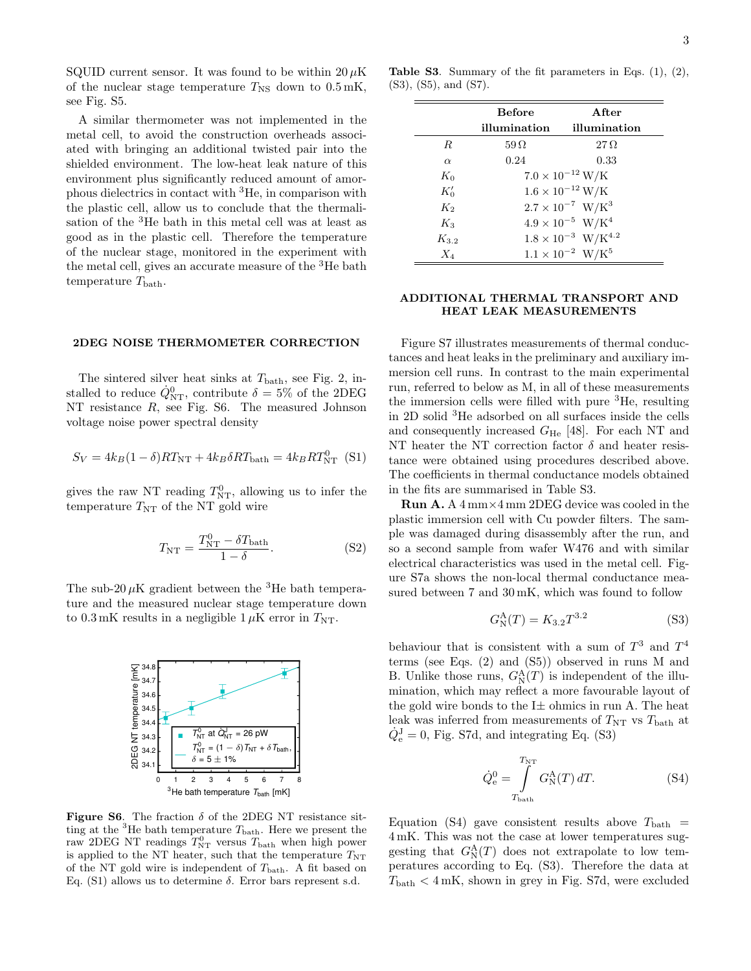SQUID current sensor. It was found to be within  $20 \mu K$ of the nuclear stage temperature  $T_{\rm NS}$  down to  $0.5 \,\rm mK$ , see Fig. S5.

A similar thermometer was not implemented in the metal cell, to avoid the construction overheads associated with bringing an additional twisted pair into the shielded environment. The low-heat leak nature of this environment plus significantly reduced amount of amorphous dielectrics in contact with <sup>3</sup>He, in comparison with the plastic cell, allow us to conclude that the thermalisation of the <sup>3</sup>He bath in this metal cell was at least as good as in the plastic cell. Therefore the temperature of the nuclear stage, monitored in the experiment with the metal cell, gives an accurate measure of the <sup>3</sup>He bath temperature  $T_{\text{bath}}$ .

# 2DEG NOISE THERMOMETER CORRECTION

The sintered silver heat sinks at  $T_{\text{bath}}$ , see Fig. 2, installed to reduce  $\dot{Q}_{NT}^0$ , contribute  $\delta = 5\%$  of the 2DEG NT resistance R, see Fig. S6. The measured Johnson voltage noise power spectral density

$$
S_V = 4k_B(1 - \delta)RT_{\text{NT}} + 4k_B\delta RT_{\text{bath}} = 4k_BRT_{\text{NT}}^0
$$
 (S1)

gives the raw NT reading  $T_{\text{NT}}^0$ , allowing us to infer the temperature  $T_{\text{NT}}$  of the NT gold wire

$$
T_{\rm NT} = \frac{T_{\rm NT}^0 - \delta T_{\rm bath}}{1 - \delta}.
$$
 (S2)

The sub-20  $\mu$ K gradient between the <sup>3</sup>He bath temperature and the measured nuclear stage temperature down to  $0.3 \text{ mK}$  results in a negligible  $1 \mu \text{K}$  error in  $T_{\text{NT}}$ .



Figure S6. The fraction  $\delta$  of the 2DEG NT resistance sitting at the <sup>3</sup>He bath temperature  $T_{\text{bath}}$ . Here we present the raw 2DEG NT readings  $T_{\text{NT}}^0$  versus  $T_{\text{bath}}$  when high power is applied to the NT heater, such that the temperature  $T_{\rm NT}$ of the NT gold wire is independent of  $T_{\text{bath}}$ . A fit based on Eq. (S1) allows us to determine δ. Error bars represent s.d.

Table S3. Summary of the fit parameters in Eqs. (1), (2), (S3), (S5), and (S7).

|           | <b>Before</b> | A ft.er                                 |
|-----------|---------------|-----------------------------------------|
|           | illumination  | illumination                            |
| $_{R}$    | $59\,\Omega$  | $27\,\Omega$                            |
| $\alpha$  | 0.24          | 0.33                                    |
| $K_0$     |               | $7.0 \times 10^{-12} \,\mathrm{W/K}$    |
| $K_0'$    |               | $1.6\times10^{-12}\,\mathrm{W/K}$       |
| $K_2$     |               | $2.7 \times 10^{-7}$ W/K <sup>3</sup>   |
| $K_3$     |               | $4.9\times10^{-5}$ W/K <sup>4</sup>     |
| $K_{3,2}$ |               | $1.8 \times 10^{-3}$ W/K <sup>4.2</sup> |
| $X_4$     |               | $1.1\times10^{-2}$ $\,\mathrm{W/K^5}$   |

### ADDITIONAL THERMAL TRANSPORT AND HEAT LEAK MEASUREMENTS

Figure S7 illustrates measurements of thermal conductances and heat leaks in the preliminary and auxiliary immersion cell runs. In contrast to the main experimental run, referred to below as M, in all of these measurements the immersion cells were filled with pure <sup>3</sup>He, resulting in 2D solid <sup>3</sup>He adsorbed on all surfaces inside the cells and consequently increased  $G_{\text{He}}$  [48]. For each NT and NT heater the NT correction factor  $\delta$  and heater resistance were obtained using procedures described above. The coefficients in thermal conductance models obtained in the fits are summarised in Table S3.

Run A. A 4 mm×4 mm 2DEG device was cooled in the plastic immersion cell with Cu powder filters. The sample was damaged during disassembly after the run, and so a second sample from wafer W476 and with similar electrical characteristics was used in the metal cell. Figure S7a shows the non-local thermal conductance measured between 7 and 30 mK, which was found to follow

$$
G_N^{\rm A}(T) = K_{3.2} T^{3.2} \tag{S3}
$$

behaviour that is consistent with a sum of  $T^3$  and  $T^4$ terms (see Eqs. (2) and (S5)) observed in runs M and B. Unlike those runs,  $G_N^{\mathbf{A}}(T)$  is independent of the illumination, which may reflect a more favourable layout of the gold wire bonds to the  $I\pm$  ohmics in run A. The heat leak was inferred from measurements of  $T_{\text{NT}}$  vs  $T_{\text{bath}}$  at  $\dot{Q}_{\rm e}^{\rm J} = 0$ , Fig. S7d, and integrating Eq. (S3)

$$
\dot{Q}_{\rm e}^{0} = \int_{T_{\rm bath}}^{T_{\rm NT}} G_{\rm N}^{\rm A}(T) dT.
$$
 (S4)

Equation (S4) gave consistent results above  $T_{\text{bath}}$  = 4 mK. This was not the case at lower temperatures suggesting that  $G_N^{\mathbf{A}}(T)$  does not extrapolate to low temperatures according to Eq. (S3). Therefore the data at  $T_{\text{bath}} < 4 \text{ mK}$ , shown in grey in Fig. S7d, were excluded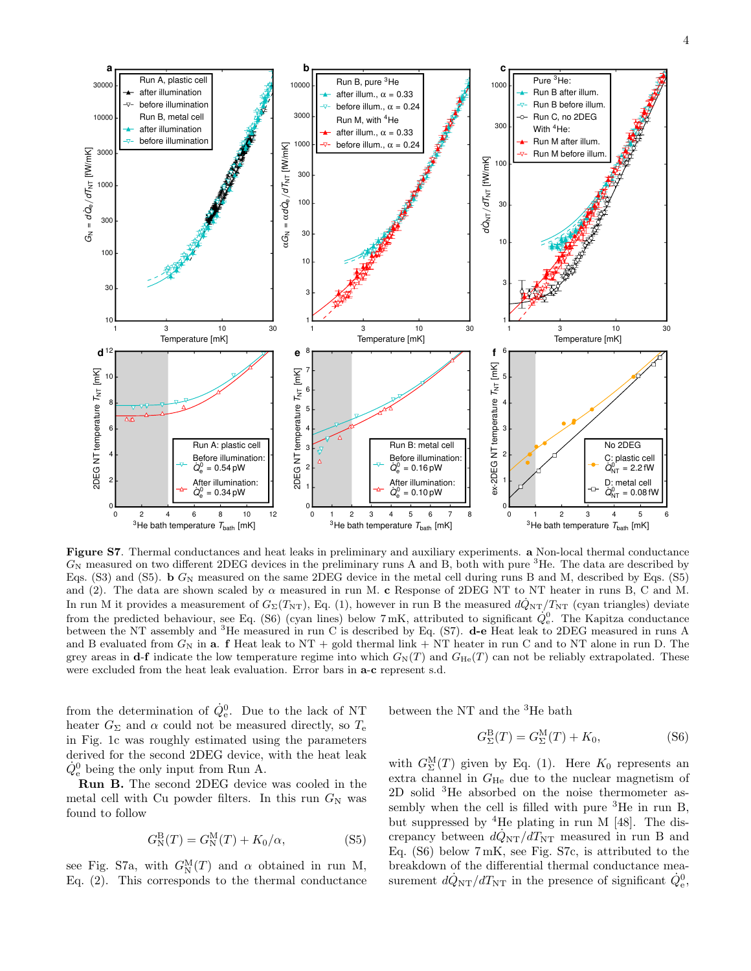

Figure S7. Thermal conductances and heat leaks in preliminary and auxiliary experiments. a Non-local thermal conductance  $G_N$  measured on two different 2DEG devices in the preliminary runs A and B, both with pure  ${}^{3}$ He. The data are described by Eqs. (S3) and (S5). b  $G_N$  measured on the same 2DEG device in the metal cell during runs B and M, described by Eqs. (S5) and (2). The data are shown scaled by  $\alpha$  measured in run M. c Response of 2DEG NT to NT heater in runs B, C and M. In run M it provides a measurement of  $G_{\Sigma}(T_{\rm NT})$ , Eq. (1), however in run B the measured  $d\dot{Q}_{\rm NT}/T_{\rm NT}$  (cyan triangles) deviate from the predicted behaviour, see Eq. (S6) (cyan lines) below  $7 \text{ mK}$ , attributed to significant  $\dot{Q}_{e}^{0}$ . The Kapitza conductance between the NT assembly and <sup>3</sup>He measured in run C is described by Eq. (S7). d-e Heat leak to 2DEG measured in runs A and B evaluated from  $G_N$  in a. f Heat leak to NT + gold thermal link + NT heater in run C and to NT alone in run D. The grey areas in d-f indicate the low temperature regime into which  $G_N(T)$  and  $G_{\text{He}}(T)$  can not be reliably extrapolated. These were excluded from the heat leak evaluation. Error bars in a-c represent s.d.

from the determination of  $\dot{Q}_{e}^{0}$ . Due to the lack of NT heater  $G_{\Sigma}$  and  $\alpha$  could not be measured directly, so  $T_{e}$ in Fig. 1c was roughly estimated using the parameters derived for the second 2DEG device, with the heat leak  $\dot{Q}_{e}^{0}$  being the only input from Run A.

Run B. The second 2DEG device was cooled in the metal cell with Cu powder filters. In this run  $G_N$  was found to follow

$$
G_N^{\mathcal{B}}(T) = G_N^{\mathcal{M}}(T) + K_0/\alpha,
$$
\n(S5)

see Fig. S7a, with  $G_N^{\mathcal{M}}(T)$  and  $\alpha$  obtained in run M, Eq. (2). This corresponds to the thermal conductance between the NT and the <sup>3</sup>He bath

$$
G_{\Sigma}^{\mathcal{B}}(T) = G_{\Sigma}^{\mathcal{M}}(T) + K_0,\tag{S6}
$$

with  $G_{\Sigma}^{\rm M}(T)$  given by Eq. (1). Here  $K_0$  represents an extra channel in  $G_{He}$  due to the nuclear magnetism of 2D solid <sup>3</sup>He absorbed on the noise thermometer assembly when the cell is filled with pure  ${}^{3}$ He in run B, but suppressed by  ${}^4$ He plating in run M [48]. The discrepancy between  $d\dot{Q}_{NT}/dT_{NT}$  measured in run B and Eq. (S6) below 7 mK, see Fig. S7c, is attributed to the breakdown of the differential thermal conductance measurement  $d\dot{Q}_{NT}/dT_{NT}$  in the presence of significant  $\dot{Q}_{e}^{0}$ ,